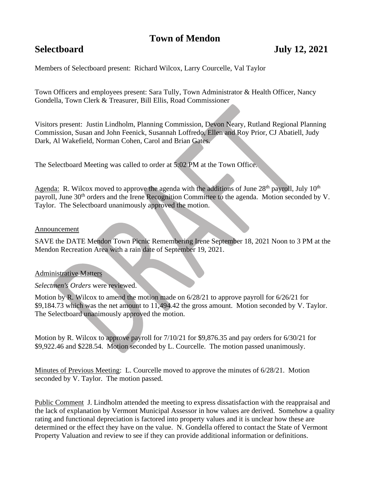# **Town of Mendon**

## **Selectboard July 12, 2021**

Members of Selectboard present: Richard Wilcox, Larry Courcelle, Val Taylor

Town Officers and employees present: Sara Tully, Town Administrator & Health Officer, Nancy Gondella, Town Clerk & Treasurer, Bill Ellis, Road Commissioner

Visitors present: Justin Lindholm, Planning Commission, Devon Neary, Rutland Regional Planning Commission, Susan and John Feenick, Susannah Loffredo, Ellen and Roy Prior, CJ Abatiell, Judy Dark, Al Wakefield, Norman Cohen, Carol and Brian Gates.

The Selectboard Meeting was called to order at 5:02 PM at the Town Office.

Agenda: R. Wilcox moved to approve the agenda with the additions of June  $28<sup>th</sup>$  payroll, July  $10<sup>th</sup>$ payroll, June 30<sup>th</sup> orders and the Irene Recognition Committee to the agenda. Motion seconded by V. Taylor. The Selectboard unanimously approved the motion.

#### Announcement

SAVE the DATE Mendon Town Picnic Remembering Irene September 18, 2021 Noon to 3 PM at the Mendon Recreation Area with a rain date of September 19, 2021.

#### Administrative Matters

#### *Selectmen's Orders* were reviewed.

Motion by R. Wilcox to amend the motion made on 6/28/21 to approve payroll for 6/26/21 for \$9,184.73 which was the net amount to 11,494.42 the gross amount. Motion seconded by V. Taylor. The Selectboard unanimously approved the motion.

Motion by R. Wilcox to approve payroll for 7/10/21 for \$9,876.35 and pay orders for 6/30/21 for \$9,922.46 and \$228.54. Motion seconded by L. Courcelle. The motion passed unanimously.

Minutes of Previous Meeting: L. Courcelle moved to approve the minutes of 6/28/21. Motion seconded by V. Taylor. The motion passed.

Public Comment J. Lindholm attended the meeting to express dissatisfaction with the reappraisal and the lack of explanation by Vermont Municipal Assessor in how values are derived. Somehow a quality rating and functional depreciation is factored into property values and it is unclear how these are determined or the effect they have on the value. N. Gondella offered to contact the State of Vermont Property Valuation and review to see if they can provide additional information or definitions.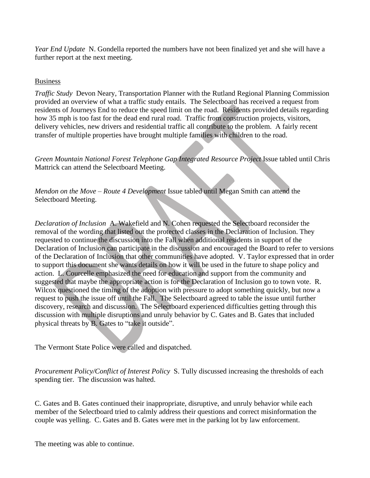*Year End Update* N. Gondella reported the numbers have not been finalized yet and she will have a further report at the next meeting.

### Business

*Traffic Study* Devon Neary, Transportation Planner with the Rutland Regional Planning Commission provided an overview of what a traffic study entails. The Selectboard has received a request from residents of Journeys End to reduce the speed limit on the road. Residents provided details regarding how 35 mph is too fast for the dead end rural road. Traffic from construction projects, visitors, delivery vehicles, new drivers and residential traffic all contribute to the problem. A fairly recent transfer of multiple properties have brought multiple families with children to the road.

*Green Mountain National Forest Telephone Gap Integrated Resource Project* Issue tabled until Chris Mattrick can attend the Selectboard Meeting.

*Mendon on the Move – Route 4 Development* Issue tabled until Megan Smith can attend the Selectboard Meeting.

*Declaration of Inclusion* A. Wakefield and N. Cohen requested the Selectboard reconsider the removal of the wording that listed out the protected classes in the Declaration of Inclusion. They requested to continue the discussion into the Fall when additional residents in support of the Declaration of Inclusion can participate in the discussion and encouraged the Board to refer to versions of the Declaration of Inclusion that other communities have adopted. V. Taylor expressed that in order to support this document she wants details on how it will be used in the future to shape policy and action. L. Courcelle emphasized the need for education and support from the community and suggested that maybe the appropriate action is for the Declaration of Inclusion go to town vote. R. Wilcox questioned the timing of the adoption with pressure to adopt something quickly, but now a request to push the issue off until the Fall. The Selectboard agreed to table the issue until further discovery, research and discussion. The Selectboard experienced difficulties getting through this discussion with multiple disruptions and unruly behavior by C. Gates and B. Gates that included physical threats by B. Gates to "take it outside".

The Vermont State Police were called and dispatched.

*Procurement Policy/Conflict of Interest Policy* S. Tully discussed increasing the thresholds of each spending tier. The discussion was halted.

C. Gates and B. Gates continued their inappropriate, disruptive, and unruly behavior while each member of the Selectboard tried to calmly address their questions and correct misinformation the couple was yelling. C. Gates and B. Gates were met in the parking lot by law enforcement.

The meeting was able to continue.